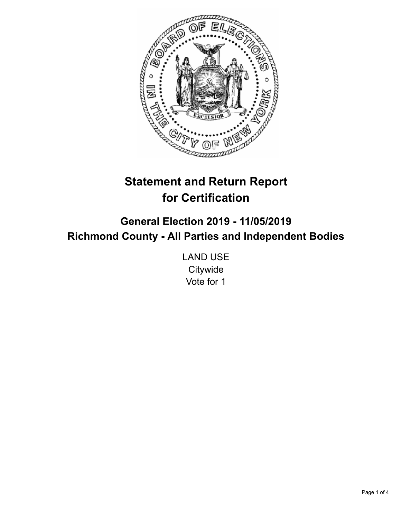

# **Statement and Return Report for Certification**

**General Election 2019 - 11/05/2019 Richmond County - All Parties and Independent Bodies**

> LAND USE **Citywide** Vote for 1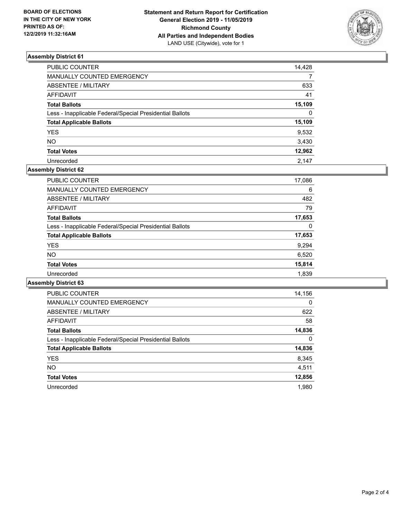

## **Assembly District 61**

| PUBLIC COUNTER                                           | 14,428   |
|----------------------------------------------------------|----------|
| MANUALLY COUNTED EMERGENCY                               |          |
| <b>ABSENTEE / MILITARY</b>                               | 633      |
| <b>AFFIDAVIT</b>                                         | 41       |
| <b>Total Ballots</b>                                     | 15,109   |
| Less - Inapplicable Federal/Special Presidential Ballots | $\Omega$ |
| <b>Total Applicable Ballots</b>                          | 15,109   |
| <b>YES</b>                                               | 9,532    |
| <b>NO</b>                                                | 3,430    |
| <b>Total Votes</b>                                       | 12,962   |
| Unrecorded                                               | 2.147    |

# **Assembly District 62**

| <b>PUBLIC COUNTER</b>                                    | 17,086   |
|----------------------------------------------------------|----------|
| <b>MANUALLY COUNTED EMERGENCY</b>                        | 6        |
| ABSENTEE / MILITARY                                      | 482      |
| <b>AFFIDAVIT</b>                                         | 79       |
| <b>Total Ballots</b>                                     | 17,653   |
| Less - Inapplicable Federal/Special Presidential Ballots | $\Omega$ |
| <b>Total Applicable Ballots</b>                          | 17,653   |
| <b>YES</b>                                               | 9,294    |
| <b>NO</b>                                                | 6,520    |
| <b>Total Votes</b>                                       | 15,814   |
| Unrecorded                                               | 1,839    |

#### **Assembly District 63**

| <b>PUBLIC COUNTER</b>                                    | 14,156   |
|----------------------------------------------------------|----------|
| <b>MANUALLY COUNTED EMERGENCY</b>                        | $\Omega$ |
| ABSENTEE / MILITARY                                      | 622      |
| <b>AFFIDAVIT</b>                                         | 58       |
| <b>Total Ballots</b>                                     | 14,836   |
| Less - Inapplicable Federal/Special Presidential Ballots | $\Omega$ |
| <b>Total Applicable Ballots</b>                          | 14,836   |
| <b>YES</b>                                               | 8,345    |
| NO.                                                      | 4,511    |
| <b>Total Votes</b>                                       | 12,856   |
| Unrecorded                                               | 1.980    |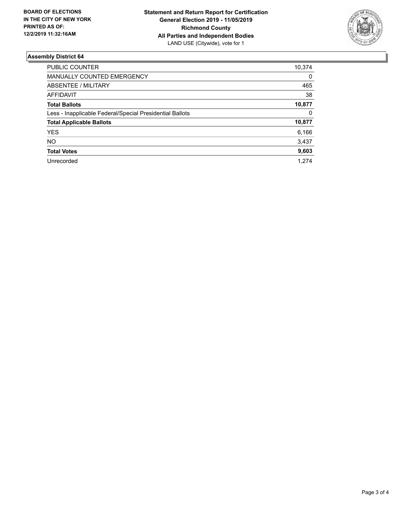

## **Assembly District 64**

| PUBLIC COUNTER                                           | 10,374 |
|----------------------------------------------------------|--------|
| <b>MANUALLY COUNTED EMERGENCY</b>                        | 0      |
| ABSENTEE / MILITARY                                      | 465    |
| AFFIDAVIT                                                | 38     |
| <b>Total Ballots</b>                                     | 10,877 |
| Less - Inapplicable Federal/Special Presidential Ballots | 0      |
| <b>Total Applicable Ballots</b>                          | 10,877 |
| <b>YES</b>                                               | 6,166  |
| NO.                                                      | 3,437  |
| <b>Total Votes</b>                                       | 9,603  |
| Unrecorded                                               | 1.274  |